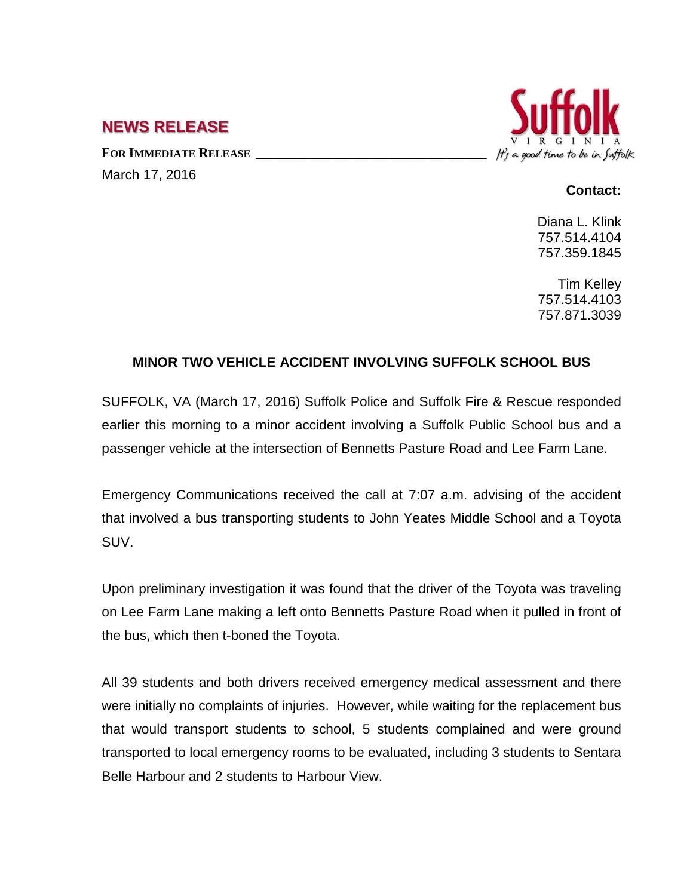## **NEWS RELEASE**

FOR **IMMEDIATE RELEASE** March 17, 2016



## **Contact:**

Diana L. Klink 757.514.4104 757.359.1845

Tim Kelley 757.514.4103 757.871.3039

## **MINOR TWO VEHICLE ACCIDENT INVOLVING SUFFOLK SCHOOL BUS**

SUFFOLK, VA (March 17, 2016) Suffolk Police and Suffolk Fire & Rescue responded earlier this morning to a minor accident involving a Suffolk Public School bus and a passenger vehicle at the intersection of Bennetts Pasture Road and Lee Farm Lane.

Emergency Communications received the call at 7:07 a.m. advising of the accident that involved a bus transporting students to John Yeates Middle School and a Toyota SUV.

Upon preliminary investigation it was found that the driver of the Toyota was traveling on Lee Farm Lane making a left onto Bennetts Pasture Road when it pulled in front of the bus, which then t-boned the Toyota.

All 39 students and both drivers received emergency medical assessment and there were initially no complaints of injuries. However, while waiting for the replacement bus that would transport students to school, 5 students complained and were ground transported to local emergency rooms to be evaluated, including 3 students to Sentara Belle Harbour and 2 students to Harbour View.